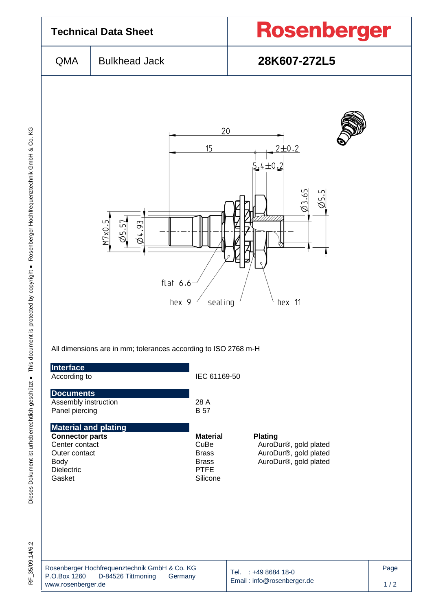

Dieses Dokument ist urheberrechtlich geschützt ● This document is protected by copyright ● Rosenberger Hochfrequenztechnik GmbH & Co. KG F\_35/09.14/6.2 Dieses Dokument ist urheberrechtlich geschützt ● This document is protected by copyright ● Rosenberger Hochfrequenztechnik GmbH & Co. KG

RF 35/09.14/6.2